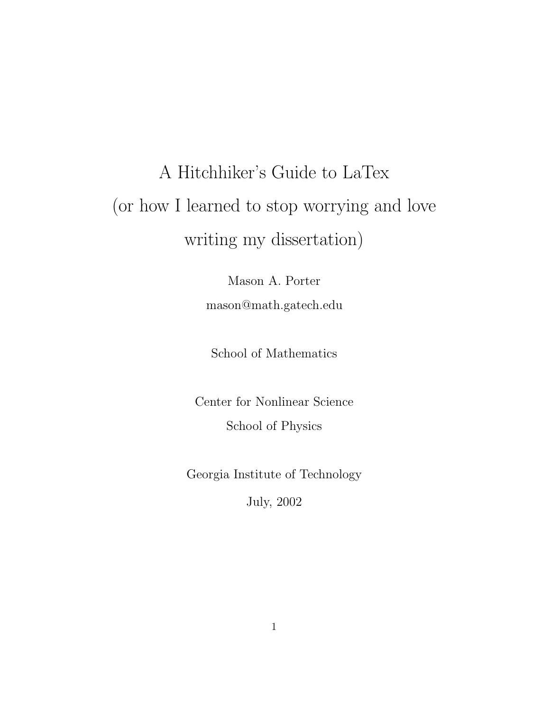# A Hitchhiker's Guide to LaTex (or how I learned to stop worrying and love writing my dissertation)

Mason A. Porter mason@math.gatech.edu

School of Mathematics

Center for Nonlinear Science School of Physics

Georgia Institute of Technology

July, 2002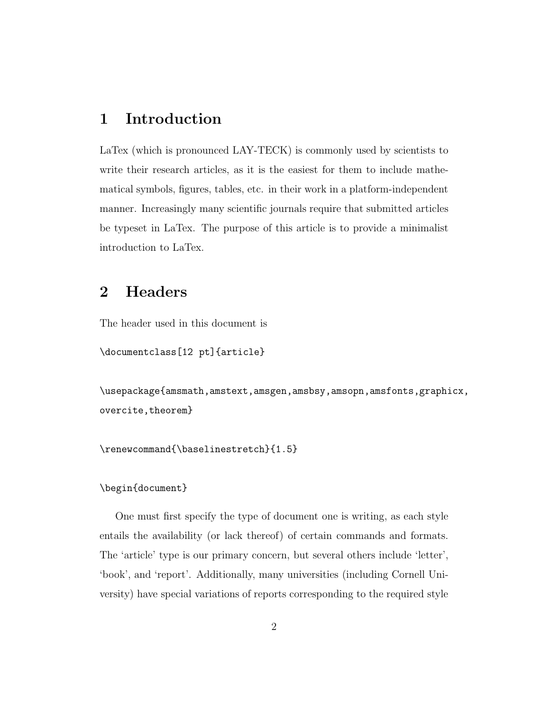# **1 Introduction**

LaTex (which is pronounced LAY-TECK) is commonly used by scientists to write their research articles, as it is the easiest for them to include mathematical symbols, figures, tables, etc. in their work in a platform-independent manner. Increasingly many scientific journals require that submitted articles be typeset in LaTex. The purpose of this article is to provide a minimalist introduction to LaTex.

# **2 Headers**

The header used in this document is

```
\documentclass[12 pt]{article}
```
\usepackage{amsmath,amstext,amsgen,amsbsy,amsopn,amsfonts,graphicx, overcite,theorem}

```
\renewcommand{\baselinestretch}{1.5}
```
### \begin{document}

One must first specify the type of document one is writing, as each style entails the availability (or lack thereof) of certain commands and formats. The 'article' type is our primary concern, but several others include 'letter', 'book', and 'report'. Additionally, many universities (including Cornell University) have special variations of reports corresponding to the required style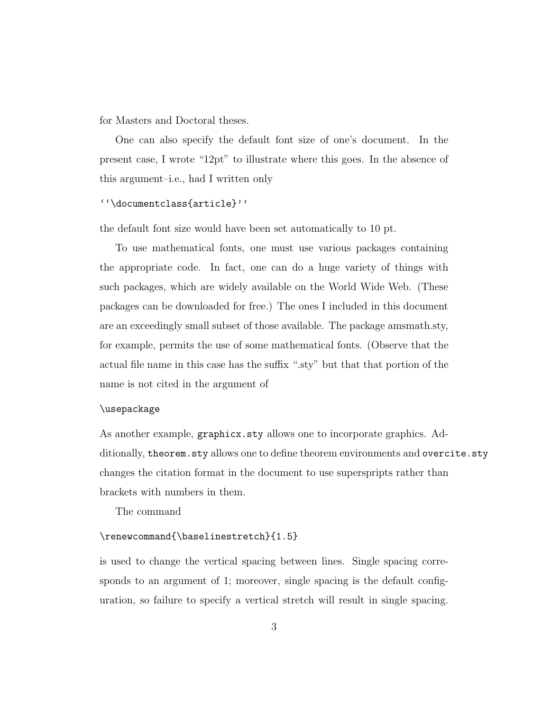for Masters and Doctoral theses.

One can also specify the default font size of one's document. In the present case, I wrote "12pt" to illustrate where this goes. In the absence of this argument–i.e., had I written only

### ''\documentclass{article}''

the default font size would have been set automatically to 10 pt.

To use mathematical fonts, one must use various packages containing the appropriate code. In fact, one can do a huge variety of things with such packages, which are widely available on the World Wide Web. (These packages can be downloaded for free.) The ones I included in this document are an exceedingly small subset of those available. The package amsmath.sty, for example, permits the use of some mathematical fonts. (Observe that the actual file name in this case has the suffix ".sty" but that that portion of the name is not cited in the argument of

#### \usepackage

As another example, graphicx.sty allows one to incorporate graphics. Additionally, theorem.sty allows one to define theorem environments and overcite.sty changes the citation format in the document to use superspripts rather than brackets with numbers in them.

The command

#### \renewcommand{\baselinestretch}{1.5}

is used to change the vertical spacing between lines. Single spacing corresponds to an argument of 1; moreover, single spacing is the default configuration, so failure to specify a vertical stretch will result in single spacing.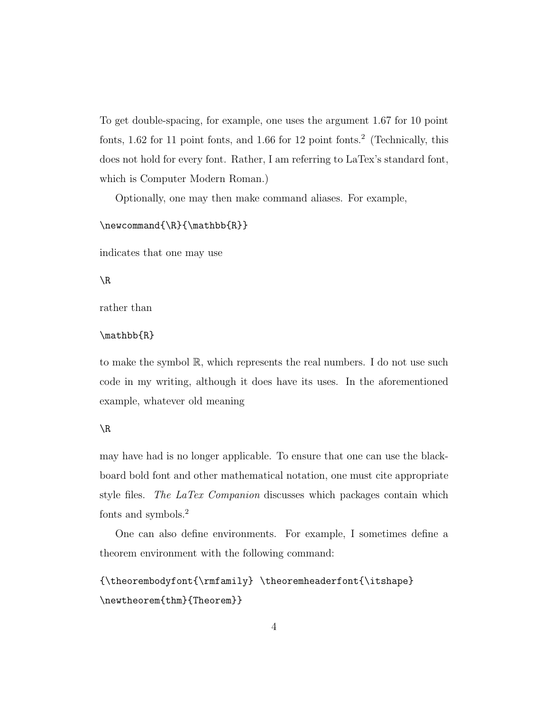To get double-spacing, for example, one uses the argument 1.67 for 10 point fonts,  $1.62$  for 11 point fonts, and  $1.66$  for 12 point fonts.<sup>2</sup> (Technically, this does not hold for every font. Rather, I am referring to LaTex's standard font, which is Computer Modern Roman.)

Optionally, one may then make command aliases. For example,

\newcommand{\R}{\mathbb{R}}

indicates that one may use

\R

rather than

\mathbb{R}

to make the symbol R, which represents the real numbers. I do not use such code in my writing, although it does have its uses. In the aforementioned example, whatever old meaning

 $\setminus R$ 

may have had is no longer applicable. To ensure that one can use the blackboard bold font and other mathematical notation, one must cite appropriate style files. The LaTex Companion discusses which packages contain which fonts and symbols.<sup>2</sup>

One can also define environments. For example, I sometimes define a theorem environment with the following command:

```
{\theorembodyfont{\rmfamily} \theoremheaderfont{\itshape}
\newtheorem{thm}{Theorem}}
```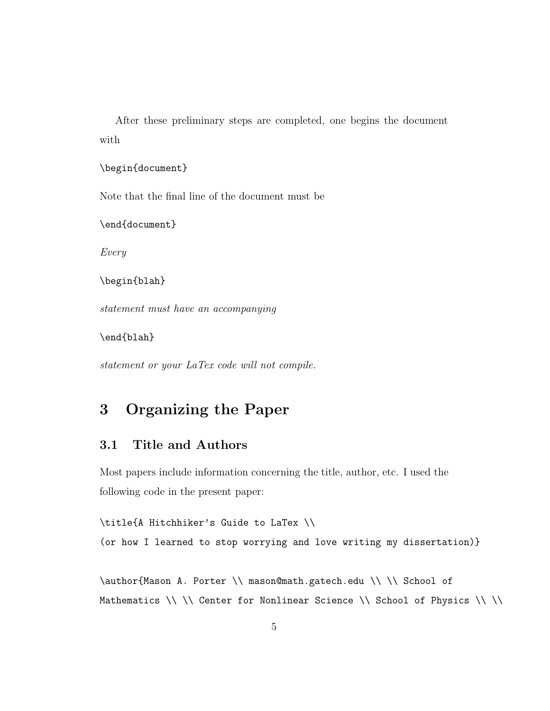After these preliminary steps are completed, one begins the document with

```
\begin{document}
```
Note that the final line of the document must be

\end{document}

Every

```
\begin{blah}
```
statement must have an accompanying

\end{blah}

statement or your LaTex code will not compile.

# **3 Organizing the Paper**

## **3.1 Title and Authors**

Most papers include information concerning the title, author, etc. I used the following code in the present paper:

#### \title{A Hitchhiker's Guide to LaTex \\

(or how I learned to stop worrying and love writing my dissertation)}

\author{Mason A. Porter \\ mason@math.gatech.edu \\ \\ School of Mathematics \\ \\ Center for Nonlinear Science \\ School of Physics \\ \\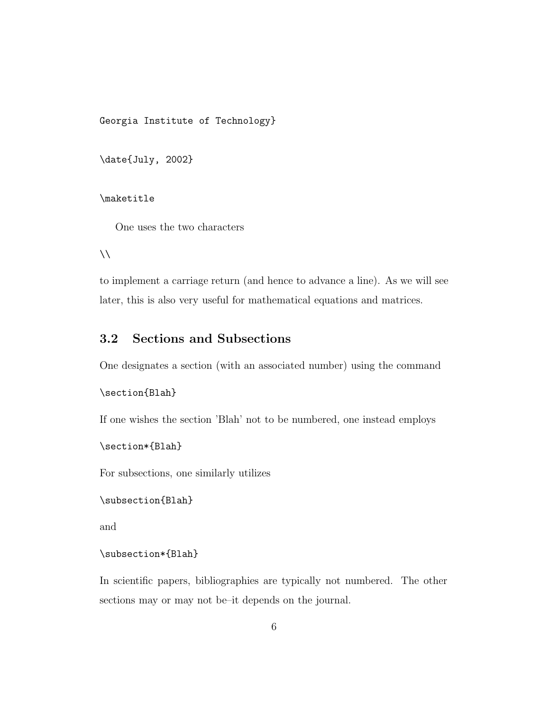Georgia Institute of Technology}

\date{July, 2002}

\maketitle

One uses the two characters

 $\setminus$ 

to implement a carriage return (and hence to advance a line). As we will see later, this is also very useful for mathematical equations and matrices.

### **3.2 Sections and Subsections**

One designates a section (with an associated number) using the command

```
\section{Blah}
```
If one wishes the section 'Blah' not to be numbered, one instead employs

```
\section*{Blah}
```
For subsections, one similarly utilizes

```
\subsection{Blah}
```
and

```
\subsection*{Blah}
```
In scientific papers, bibliographies are typically not numbered. The other sections may or may not be–it depends on the journal.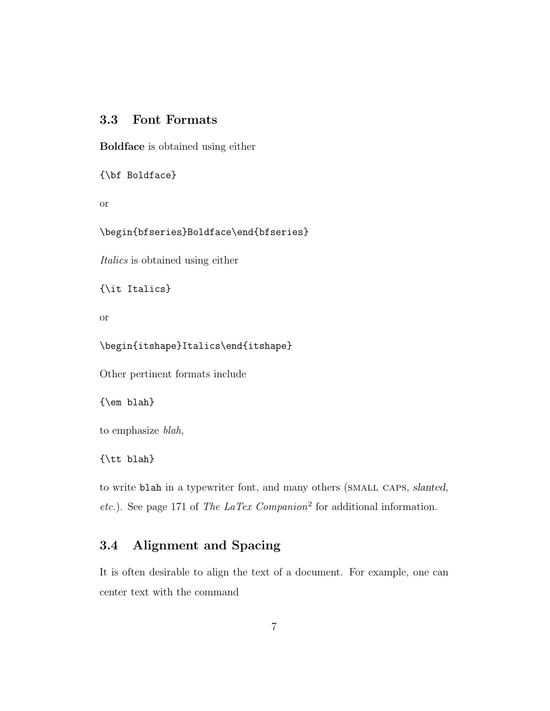### **3.3 Font Formats**

**Boldface** is obtained using either

```
{\bf Boldface}
```
or

\begin{bfseries}Boldface\end{bfseries}

Italics is obtained using either

{\it Italics}

or

\begin{itshape}Italics\end{itshape}

Other pertinent formats include

{\em blah}

to emphasize blah,

{\tt blah}

to write blah in a typewriter font, and many others (small caps, *slanted*, etc.). See page 171 of The LaTex Companion<sup>2</sup> for additional information.

# **3.4 Alignment and Spacing**

It is often desirable to align the text of a document. For example, one can center text with the command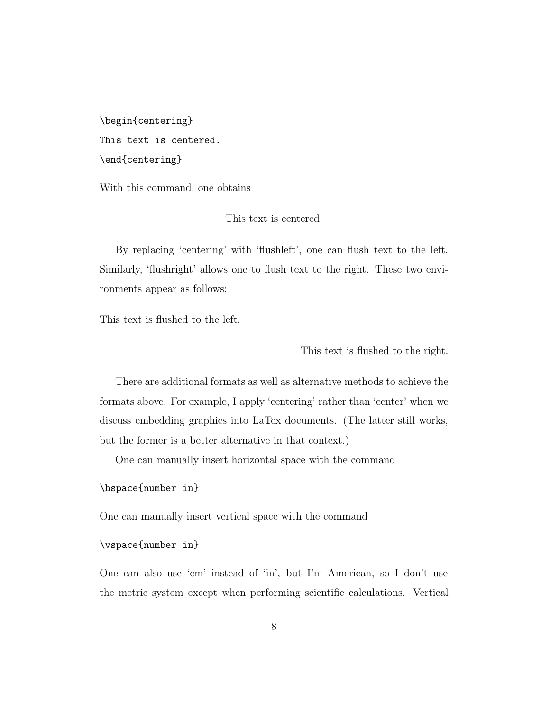\begin{centering} This text is centered. \end{centering}

With this command, one obtains

This text is centered.

By replacing 'centering' with 'flushleft', one can flush text to the left. Similarly, 'flushright' allows one to flush text to the right. These two environments appear as follows:

This text is flushed to the left.

This text is flushed to the right.

There are additional formats as well as alternative methods to achieve the formats above. For example, I apply 'centering' rather than 'center' when we discuss embedding graphics into LaTex documents. (The latter still works, but the former is a better alternative in that context.)

One can manually insert horizontal space with the command

```
\hspace{number in}
```
One can manually insert vertical space with the command

#### \vspace{number in}

One can also use 'cm' instead of 'in', but I'm American, so I don't use the metric system except when performing scientific calculations. Vertical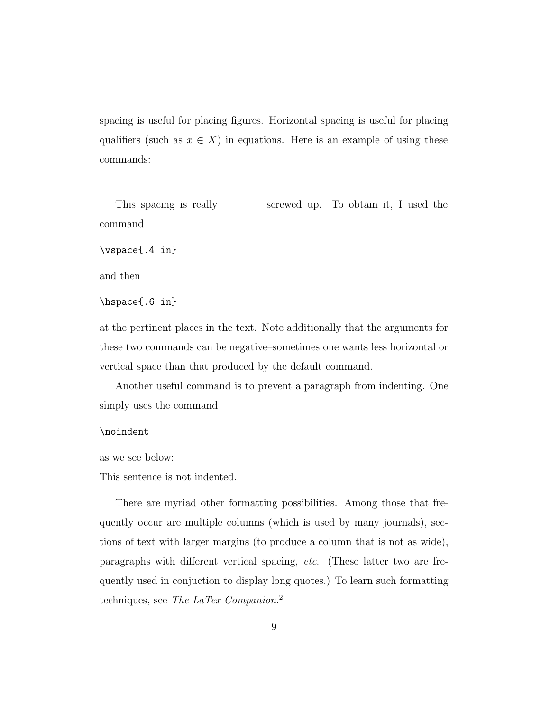spacing is useful for placing figures. Horizontal spacing is useful for placing qualifiers (such as  $x \in X$ ) in equations. Here is an example of using these commands:

This spacing is really screwed up. To obtain it, I used the command

\vspace{.4 in}

and then

\hspace{.6 in}

at the pertinent places in the text. Note additionally that the arguments for these two commands can be negative–sometimes one wants less horizontal or vertical space than that produced by the default command.

Another useful command is to prevent a paragraph from indenting. One simply uses the command

#### \noindent

as we see below:

This sentence is not indented.

There are myriad other formatting possibilities. Among those that frequently occur are multiple columns (which is used by many journals), sections of text with larger margins (to produce a column that is not as wide), paragraphs with different vertical spacing, etc. (These latter two are frequently used in conjuction to display long quotes.) To learn such formatting techniques, see The LaTex Companion.<sup>2</sup>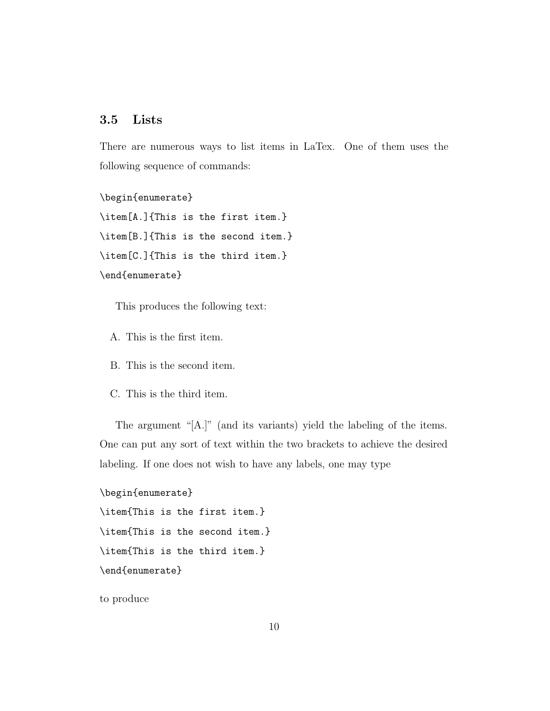### **3.5 Lists**

There are numerous ways to list items in LaTex. One of them uses the following sequence of commands:

\begin{enumerate} \item[A.]{This is the first item.} \item[B.]{This is the second item.} \item[C.]{This is the third item.} \end{enumerate}

This produces the following text:

- A. This is the first item.
- B. This is the second item.
- C. This is the third item.

The argument "[A.]" (and its variants) yield the labeling of the items. One can put any sort of text within the two brackets to achieve the desired labeling. If one does not wish to have any labels, one may type

```
\begin{enumerate}
\item{This is the first item.}
\item{This is the second item.}
\item{This is the third item.}
\end{enumerate}
```
to produce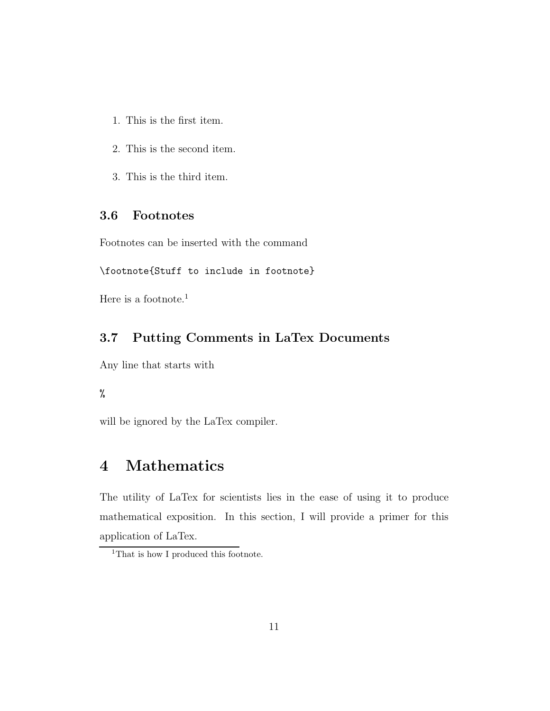- 1. This is the first item.
- 2. This is the second item.
- 3. This is the third item.

### **3.6 Footnotes**

Footnotes can be inserted with the command

\footnote{Stuff to include in footnote}

Here is a footnote.<sup>1</sup>

# **3.7 Putting Comments in LaTex Documents**

Any line that starts with

#### %

will be ignored by the LaTex compiler.

# **4 Mathematics**

The utility of LaTex for scientists lies in the ease of using it to produce mathematical exposition. In this section, I will provide a primer for this application of LaTex.

<sup>&</sup>lt;sup>1</sup>That is how I produced this footnote.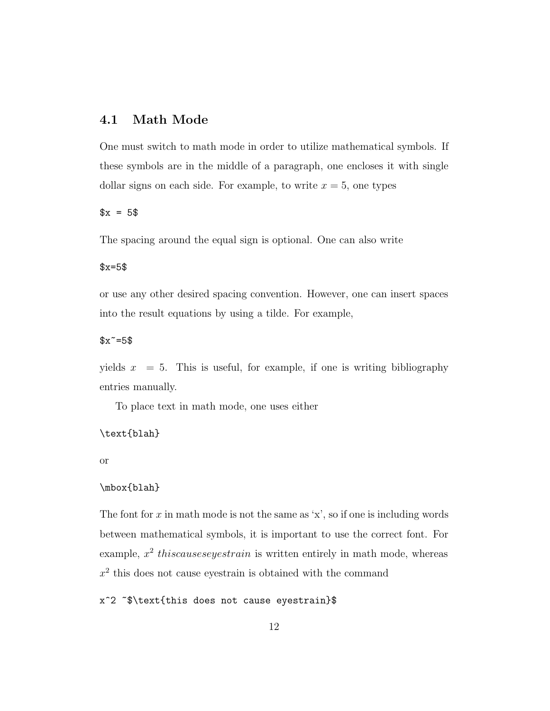### **4.1 Math Mode**

One must switch to math mode in order to utilize mathematical symbols. If these symbols are in the middle of a paragraph, one encloses it with single dollar signs on each side. For example, to write  $x = 5$ , one types

#### $x = 5$ \$

The spacing around the equal sign is optional. One can also write

#### \$x=5\$

or use any other desired spacing convention. However, one can insert spaces into the result equations by using a tilde. For example,

#### $x^2 = 5$ \$

yields  $x = 5$ . This is useful, for example, if one is writing bibliography entries manually.

To place text in math mode, one uses either

#### \text{blah}

or

#### \mbox{blah}

The font for  $x$  in math mode is not the same as  $x'$ , so if one is including words between mathematical symbols, it is important to use the correct font. For example,  $x^2$  thiscauseseyestrain is written entirely in math mode, whereas  $x^2$  this does not cause eyestrain is obtained with the command

x^2 ~\$\text{this does not cause eyestrain}\$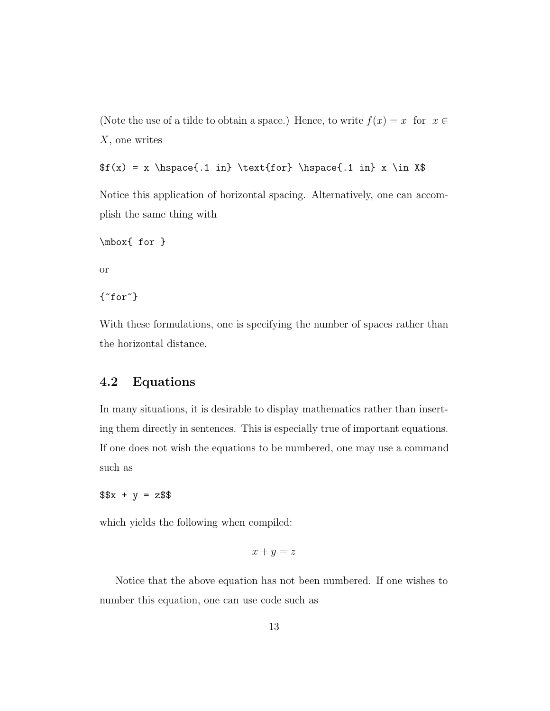(Note the use of a tilde to obtain a space.) Hence, to write  $f(x) = x$  for  $x \in$ X, one writes

 $f(x) = x \hspace \left\{ .1 in \text{for} \hspace \left\{ .1 in \text{if} \hspace \right\}$ 

Notice this application of horizontal spacing. Alternatively, one can accomplish the same thing with

\mbox{ for }

or

 $\{\texttt{``for"}\}$ 

With these formulations, one is specifying the number of spaces rather than the horizontal distance.

### **4.2 Equations**

In many situations, it is desirable to display mathematics rather than inserting them directly in sentences. This is especially true of important equations. If one does not wish the equations to be numbered, one may use a command such as

 $$x + y = z$ \$\$

which yields the following when compiled:

```
x + y = z
```
Notice that the above equation has not been numbered. If one wishes to number this equation, one can use code such as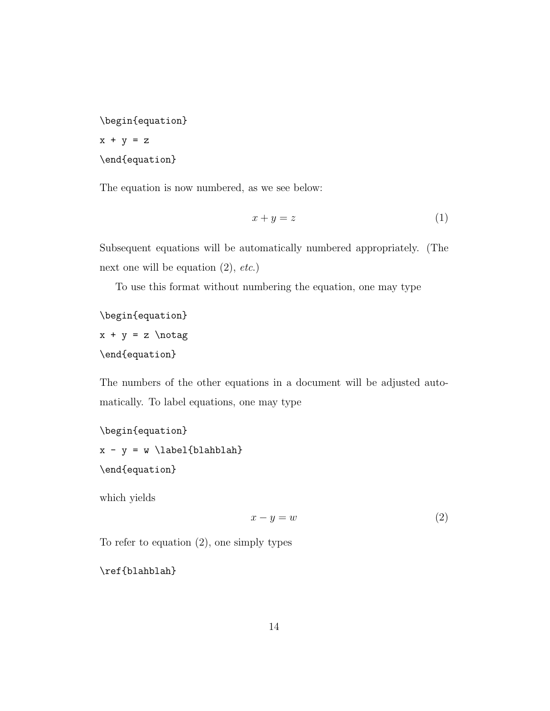\begin{equation}

 $x + y = z$ 

### \end{equation}

The equation is now numbered, as we see below:

$$
x + y = z \tag{1}
$$

Subsequent equations will be automatically numbered appropriately. (The next one will be equation  $(2)$ , *etc.*)

To use this format without numbering the equation, one may type

```
\begin{equation}
x + y = z \notag
\end{equation}
```
The numbers of the other equations in a document will be adjusted automatically. To label equations, one may type

\begin{equation}  $x - y = w \ \label{label{blabel}$ \end{equation}

which yields

$$
x - y = w \tag{2}
$$

To refer to equation (2), one simply types

\ref{blahblah}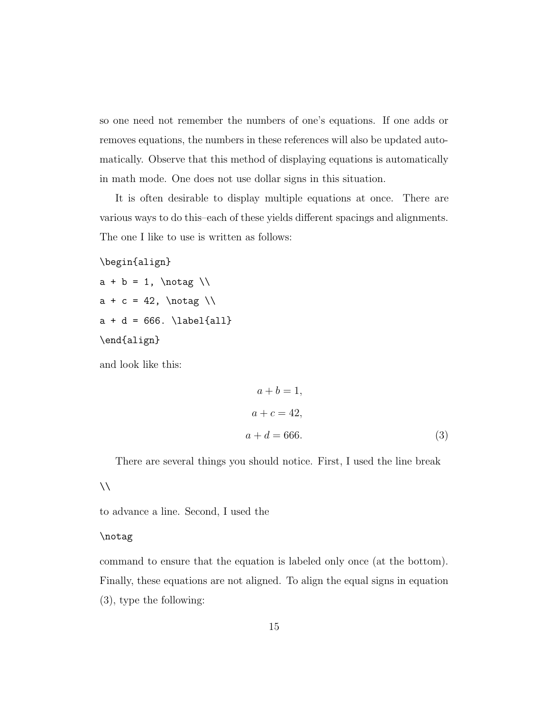so one need not remember the numbers of one's equations. If one adds or removes equations, the numbers in these references will also be updated automatically. Observe that this method of displaying equations is automatically in math mode. One does not use dollar signs in this situation.

It is often desirable to display multiple equations at once. There are various ways to do this–each of these yields different spacings and alignments. The one I like to use is written as follows:

```
\begin{align}
```
 $a + b = 1$ , \notag \\  $a + c = 42$ , \notag \\  $a + d = 666. \ \ldots$ \end{align}

and look like this:

$$
a + b = 1,
$$
  
\n
$$
a + c = 42,
$$
  
\n
$$
a + d = 666.
$$
\n(3)

There are several things you should notice. First, I used the line break

 $\setminus$ 

to advance a line. Second, I used the

#### \notag

command to ensure that the equation is labeled only once (at the bottom). Finally, these equations are not aligned. To align the equal signs in equation (3), type the following: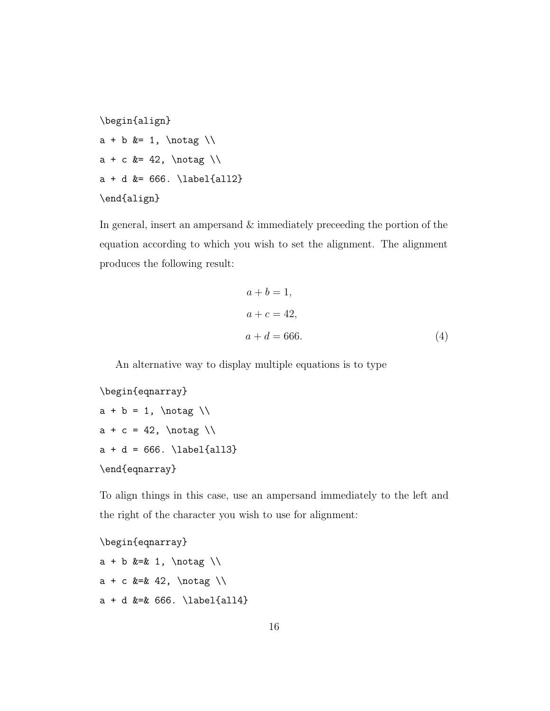```
\begin{align}
a + b &= 1, \notag \\
a + c &= 42, \notag \\
a + d &= 666. \label{all2}
\end{align}
```
In general, insert an ampersand & immediately preceeding the portion of the equation according to which you wish to set the alignment. The alignment produces the following result:

$$
a + b = 1,
$$
  
\n
$$
a + c = 42,
$$
  
\n
$$
a + d = 666.
$$
\n(4)

An alternative way to display multiple equations is to type

```
\begin{eqnarray}
a + b = 1, \notag \\
a + c = 42, \notag \\
a + d = 666. \ \ldots \\end{eqnarray}
```
To align things in this case, use an ampersand immediately to the left and the right of the character you wish to use for alignment:

```
\begin{eqnarray}
a + b &=& 1, \notag \\
a + c &=& 42, \notag \\
a + d &=& 666. \label{all4}
```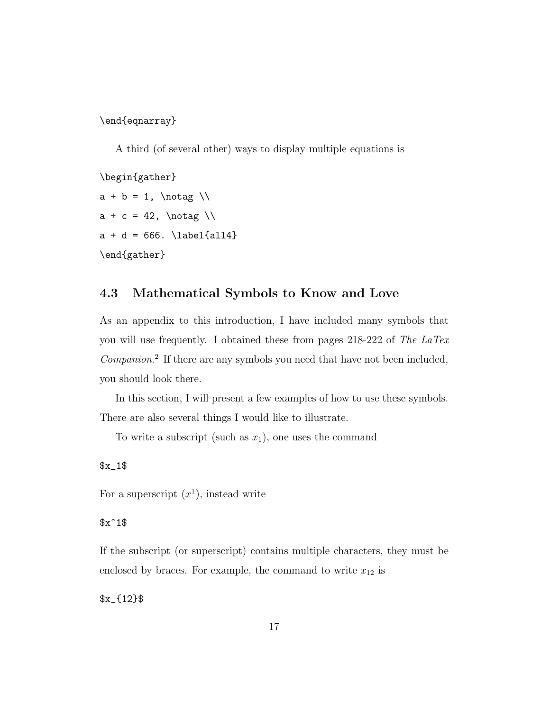\end{eqnarray}

A third (of several other) ways to display multiple equations is

\begin{gather}  $a + b = 1$ , \notag \\  $a + c = 42$ , \notag \\  $a + d = 666. \ \ldots \$ \end{gather}

### **4.3 Mathematical Symbols to Know and Love**

As an appendix to this introduction, I have included many symbols that you will use frequently. I obtained these from pages 218-222 of The LaTex Companion. <sup>2</sup> If there are any symbols you need that have not been included, you should look there.

In this section, I will present a few examples of how to use these symbols. There are also several things I would like to illustrate.

To write a subscript (such as  $x_1$ ), one uses the command

#### $x_1$ \$

For a superscript  $(x^1)$ , instead write

#### $x^1$

If the subscript (or superscript) contains multiple characters, they must be enclosed by braces. For example, the command to write  $x_{12}$  is

\$x\_{12}\$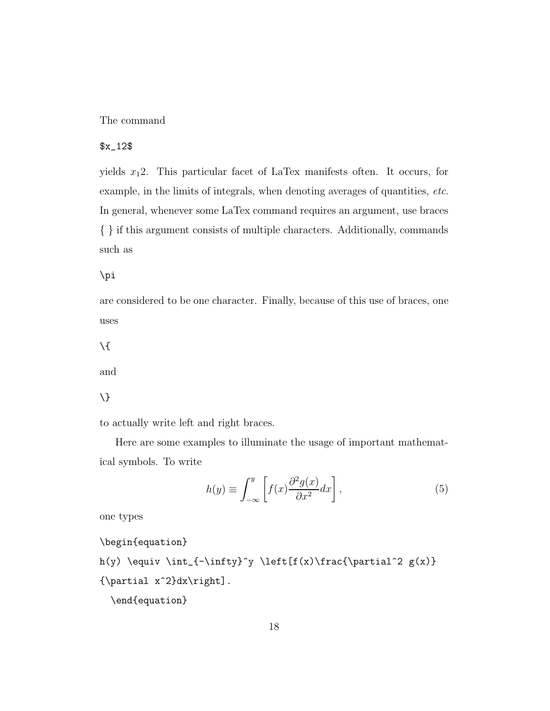#### The command

#### \$x\_12\$

yields  $x_12$ . This particular facet of LaTex manifests often. It occurs, for example, in the limits of integrals, when denoting averages of quantities, etc. In general, whenever some LaTex command requires an argument, use braces { } if this argument consists of multiple characters. Additionally, commands such as

\pi

are considered to be one character. Finally, because of this use of braces, one uses

 $\setminus$ 

and

```
\lambda
```
to actually write left and right braces.

Here are some examples to illuminate the usage of important mathematical symbols. To write

$$
h(y) \equiv \int_{-\infty}^{y} \left[ f(x) \frac{\partial^2 g(x)}{\partial x^2} dx \right],
$$
 (5)

one types

\begin{equation}

h(y) \equiv \int\_{-\infty}^y \left[f(x)\frac{\partial^2 g(x)} {\partial x^2}dx\right].

\end{equation}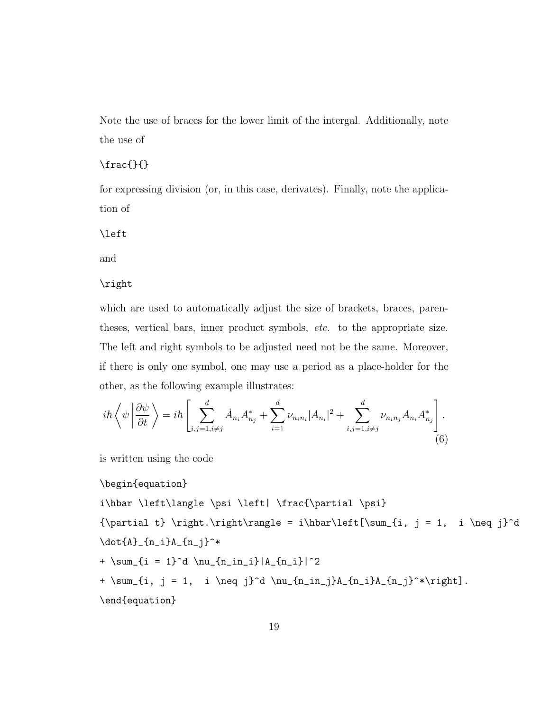Note the use of braces for the lower limit of the intergal. Additionally, note the use of

#### \frac{}{}

for expressing division (or, in this case, derivates). Finally, note the application of

\left

and

#### \right

which are used to automatically adjust the size of brackets, braces, parentheses, vertical bars, inner product symbols, etc. to the appropriate size. The left and right symbols to be adjusted need not be the same. Moreover, if there is only one symbol, one may use a period as a place-holder for the other, as the following example illustrates:

$$
i\hbar \left\langle \psi \left| \frac{\partial \psi}{\partial t} \right\rangle = i\hbar \left[ \sum_{i,j=1, i \neq j}^{d} \dot{A}_{n_i} A_{n_j}^* + \sum_{i=1}^{d} \nu_{n_i n_i} |A_{n_i}|^2 + \sum_{i,j=1, i \neq j}^{d} \nu_{n_i n_j} A_{n_i} A_{n_j}^* \right].
$$
\n(6)

is written using the code

#### \begin{equation}

i\hbar \left\langle \psi \left| \frac{\partial \psi} {\partial t} \right.\right\rangle = i\hbar\left[\sum\_{i, j = 1, i \neq j}^d  $\dot{A}_{n_i}A_{n_j}^*$ +  $\sum_{i = 1}^d \nu_{n_in_i}|A_{n_i}|^2$ + \sum\_{i, j = 1, i \neq j}^d \nu\_{n\_in\_j}A\_{n\_i}A\_{n\_j}^\*\right]. \end{equation}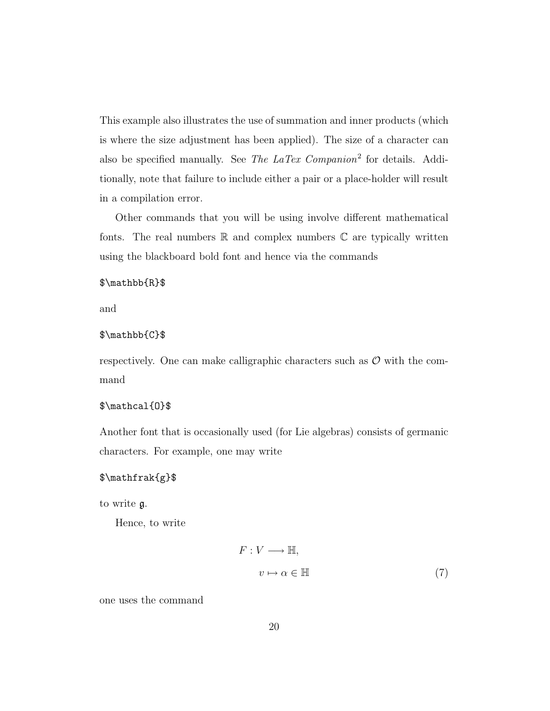This example also illustrates the use of summation and inner products (which is where the size adjustment has been applied). The size of a character can also be specified manually. See The LaTex Companion<sup>2</sup> for details. Additionally, note that failure to include either a pair or a place-holder will result in a compilation error.

Other commands that you will be using involve different mathematical fonts. The real numbers  $\mathbb R$  and complex numbers  $\mathbb C$  are typically written using the blackboard bold font and hence via the commands

#### \$\mathbb{R}\$

and

#### \$\mathbb{C}\$

respectively. One can make calligraphic characters such as  $\mathcal O$  with the command

#### \$\mathcal{O}\$

Another font that is occasionally used (for Lie algebras) consists of germanic characters. For example, one may write

#### \$\mathfrak{g}\$

to write g.

Hence, to write

$$
F: V \longrightarrow \mathbb{H},
$$
  
\n
$$
v \mapsto \alpha \in \mathbb{H}
$$
 (7)

one uses the command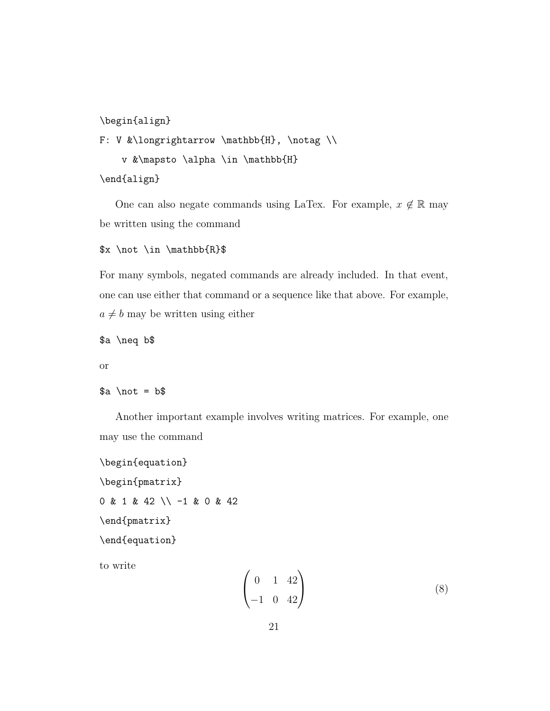```
\begin{align}
```

```
F: V &\longrightarrow \mathbb{H}, \notag \\
   v &\mapsto \alpha \in \mathbb{H}
```
\end{align}

One can also negate commands using LaTex. For example,  $x \notin \mathbb{R}$  may be written using the command

```
$x \not \in \mathbb{R}$
```
For many symbols, negated commands are already included. In that event, one can use either that command or a sequence like that above. For example,  $a \neq b$  may be written using either

\$a \neq b\$

or

 $a \not = b$ \$

Another important example involves writing matrices. For example, one may use the command

```
\begin{equation}
\begin{pmatrix}
0 & 1 & 42 \\ -1 & 0 & 42
\end{pmatrix}
\end{equation}
```
to write

$$
\begin{pmatrix} 0 & 1 & 42 \\ -1 & 0 & 42 \end{pmatrix} \tag{8}
$$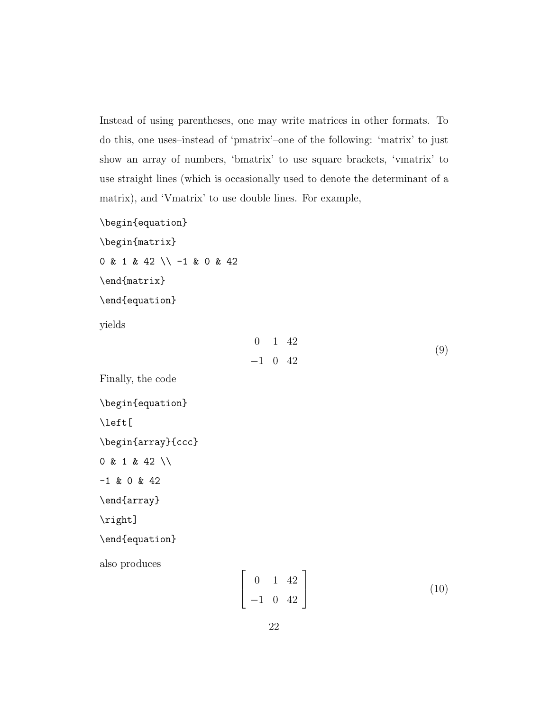Instead of using parentheses, one may write matrices in other formats. To do this, one uses–instead of 'pmatrix'–one of the following: 'matrix' to just show an array of numbers, 'bmatrix' to use square brackets, 'vmatrix' to use straight lines (which is occasionally used to denote the determinant of a matrix), and 'Vmatrix' to use double lines. For example,

\begin{equation}

\begin{matrix}

0 & 1 & 42 \\ -1 & 0 & 42

\end{matrix}

\end{equation}

yields

| $0 \t1 \t42$ |  | (9) |
|--------------|--|-----|
| $-1$ 0 42    |  |     |

Finally, the code

\begin{equation} \left[ \begin{array}{ccc} 0 & 1 & 42 \\  $-1$  & 0 & 42 \end{array}

\right]

\end{equation}

also produces

$$
\left[\begin{array}{ccc} 0 & 1 & 42 \\ -1 & 0 & 42 \end{array}\right] \tag{10}
$$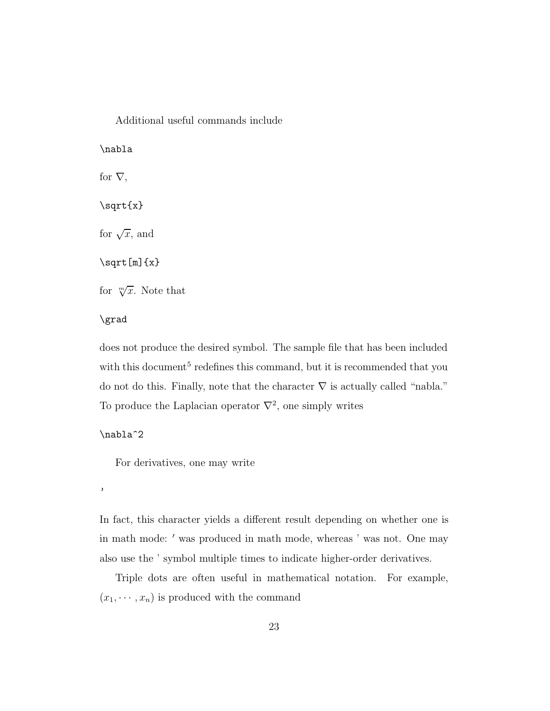Additional useful commands include \nabla for  $\nabla$ , \sqrt{x} for  $\sqrt{x}$ , and \sqrt[m]{x} for  $\sqrt[m]{x}$ . Note that

\grad

does not produce the desired symbol. The sample file that has been included with this document<sup>5</sup> redefines this command, but it is recommended that you do not do this. Finally, note that the character  $\nabla$  is actually called "nabla." To produce the Laplacian operator  $\nabla^2$ , one simply writes

\nabla^2

For derivatives, one may write

'

In fact, this character yields a different result depending on whether one is in math mode: ' was produced in math mode, whereas ' was not. One may also use the ' symbol multiple times to indicate higher-order derivatives.

Triple dots are often useful in mathematical notation. For example,  $(x_1, \dots, x_n)$  is produced with the command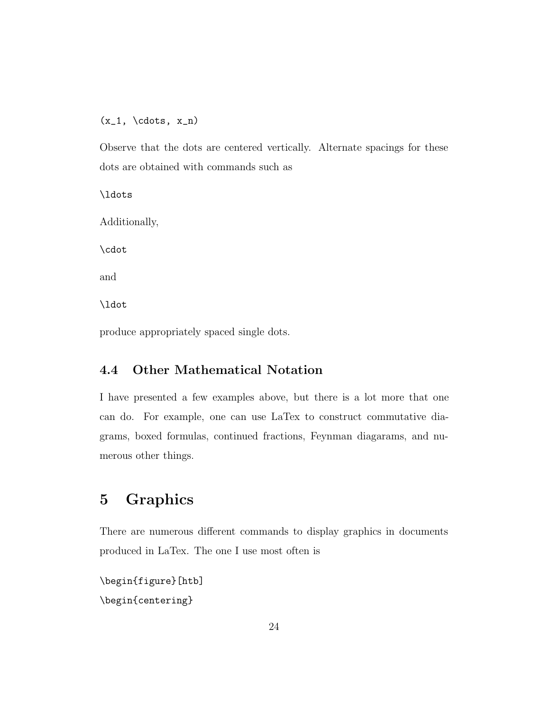$(x_1, \cdot \cdot, x_n)$ 

Observe that the dots are centered vertically. Alternate spacings for these dots are obtained with commands such as

\ldots Additionally, \cdot and \ldot

produce appropriately spaced single dots.

## **4.4 Other Mathematical Notation**

I have presented a few examples above, but there is a lot more that one can do. For example, one can use LaTex to construct commutative diagrams, boxed formulas, continued fractions, Feynman diagarams, and numerous other things.

# **5 Graphics**

There are numerous different commands to display graphics in documents produced in LaTex. The one I use most often is

```
\begin{figure}[htb]
\begin{centering}
```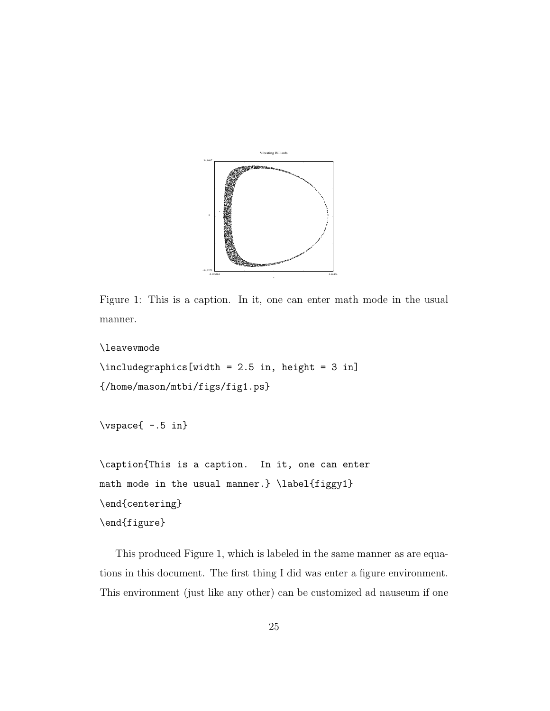

Figure 1: This is a caption. In it, one can enter math mode in the usual manner.

```
\leavevmode
\includegraphics[width = 2.5 in, height = 3 in]
{/home/mason/mtbi/figs/fig1.ps}
\varepsilon = -5 in}
\caption{This is a caption. In it, one can enter
math mode in the usual manner.} \label{figgy1}
\end{centering}
\end{figure}
```
This produced Figure 1, which is labeled in the same manner as are equations in this document. The first thing I did was enter a figure environment. This environment (just like any other) can be customized ad nauseum if one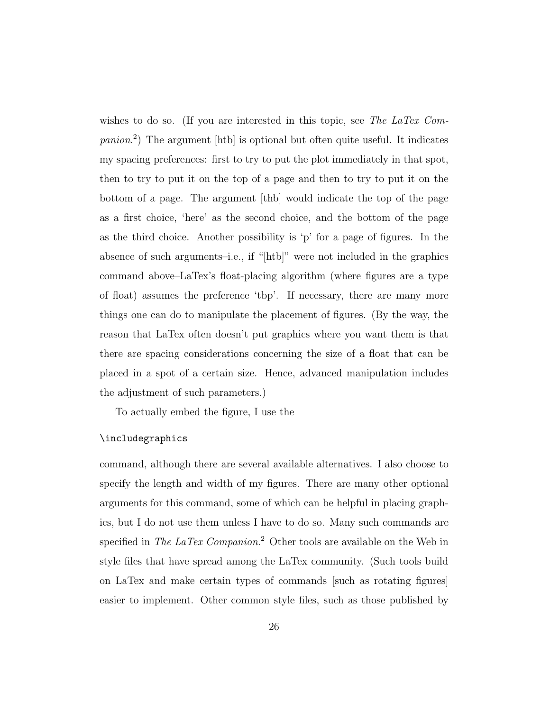wishes to do so. (If you are interested in this topic, see The LaTex Companion. <sup>2</sup>) The argument [htb] is optional but often quite useful. It indicates my spacing preferences: first to try to put the plot immediately in that spot, then to try to put it on the top of a page and then to try to put it on the bottom of a page. The argument [thb] would indicate the top of the page as a first choice, 'here' as the second choice, and the bottom of the page as the third choice. Another possibility is 'p' for a page of figures. In the absence of such arguments–i.e., if "[htb]" were not included in the graphics command above–LaTex's float-placing algorithm (where figures are a type of float) assumes the preference 'tbp'. If necessary, there are many more things one can do to manipulate the placement of figures. (By the way, the reason that LaTex often doesn't put graphics where you want them is that there are spacing considerations concerning the size of a float that can be placed in a spot of a certain size. Hence, advanced manipulation includes the adjustment of such parameters.)

To actually embed the figure, I use the

#### \includegraphics

command, although there are several available alternatives. I also choose to specify the length and width of my figures. There are many other optional arguments for this command, some of which can be helpful in placing graphics, but I do not use them unless I have to do so. Many such commands are specified in The LaTex Companion.<sup>2</sup> Other tools are available on the Web in style files that have spread among the LaTex community. (Such tools build on LaTex and make certain types of commands [such as rotating figures] easier to implement. Other common style files, such as those published by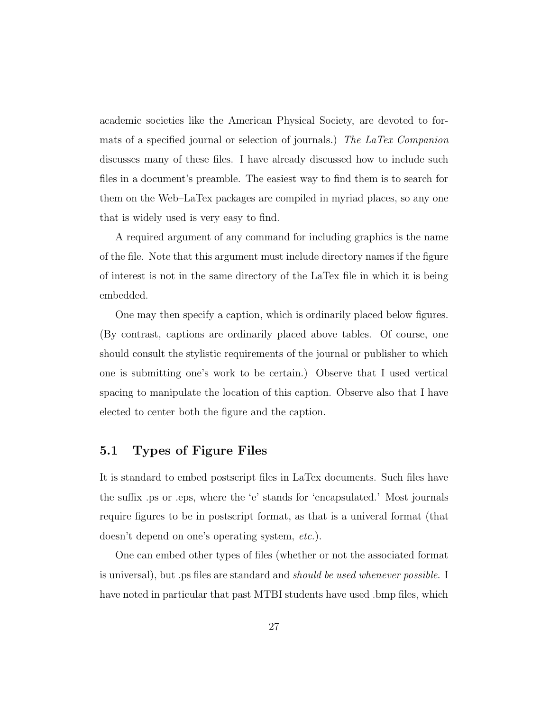academic societies like the American Physical Society, are devoted to formats of a specified journal or selection of journals.) The LaTex Companion discusses many of these files. I have already discussed how to include such files in a document's preamble. The easiest way to find them is to search for them on the Web–LaTex packages are compiled in myriad places, so any one that is widely used is very easy to find.

A required argument of any command for including graphics is the name of the file. Note that this argument must include directory names if the figure of interest is not in the same directory of the LaTex file in which it is being embedded.

One may then specify a caption, which is ordinarily placed below figures. (By contrast, captions are ordinarily placed above tables. Of course, one should consult the stylistic requirements of the journal or publisher to which one is submitting one's work to be certain.) Observe that I used vertical spacing to manipulate the location of this caption. Observe also that I have elected to center both the figure and the caption.

### **5.1 Types of Figure Files**

It is standard to embed postscript files in LaTex documents. Such files have the suffix .ps or .eps, where the 'e' stands for 'encapsulated.' Most journals require figures to be in postscript format, as that is a univeral format (that doesn't depend on one's operating system, etc.).

One can embed other types of files (whether or not the associated format is universal), but .ps files are standard and should be used whenever possible. I have noted in particular that past MTBI students have used .bmp files, which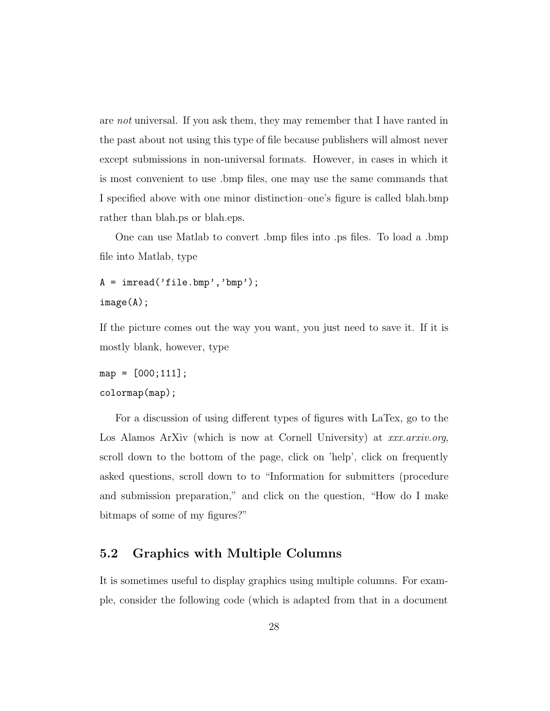are not universal. If you ask them, they may remember that I have ranted in the past about not using this type of file because publishers will almost never except submissions in non-universal formats. However, in cases in which it is most convenient to use .bmp files, one may use the same commands that I specified above with one minor distinction–one's figure is called blah.bmp rather than blah.ps or blah.eps.

One can use Matlab to convert .bmp files into .ps files. To load a .bmp file into Matlab, type

```
A = \text{imread}'(i) ile.bmp','bmp');
image(A);
```
If the picture comes out the way you want, you just need to save it. If it is mostly blank, however, type

 $map = [000; 111];$ colormap(map);

For a discussion of using different types of figures with LaTex, go to the Los Alamos ArXiv (which is now at Cornell University) at xxx.arxiv.org, scroll down to the bottom of the page, click on 'help', click on frequently asked questions, scroll down to to "Information for submitters (procedure and submission preparation," and click on the question, "How do I make bitmaps of some of my figures?"

### **5.2 Graphics with Multiple Columns**

It is sometimes useful to display graphics using multiple columns. For example, consider the following code (which is adapted from that in a document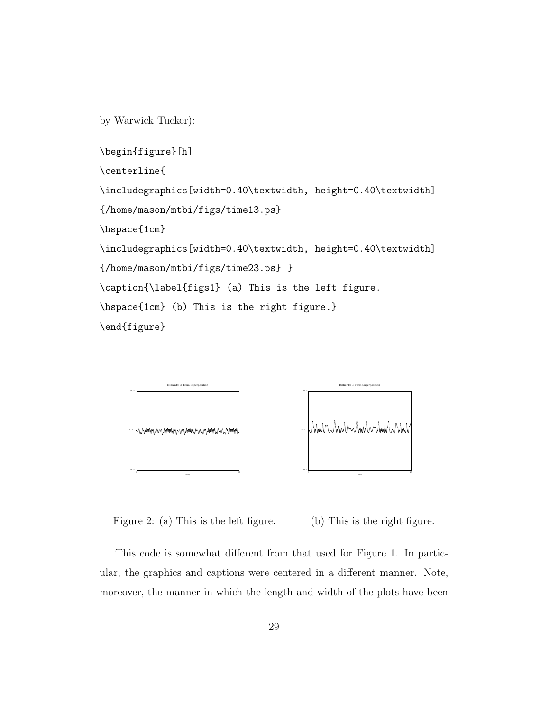by Warwick Tucker):

```
\begin{figure}[h]
```
\centerline{

\includegraphics[width=0.40\textwidth, height=0.40\textwidth]

```
{/home/mason/mtbi/figs/time13.ps}
```

```
\hspace{1cm}
```
\includegraphics[width=0.40\textwidth, height=0.40\textwidth]

```
{/home/mason/mtbi/figs/time23.ps} }
```
\caption{\label{figs1} (a) This is the left figure.

\hspace{1cm} (b) This is the right figure.}

\end{figure}



Figure 2: (a) This is the left figure. (b) This is the right figure.

This code is somewhat different from that used for Figure 1. In particular, the graphics and captions were centered in a different manner. Note, moreover, the manner in which the length and width of the plots have been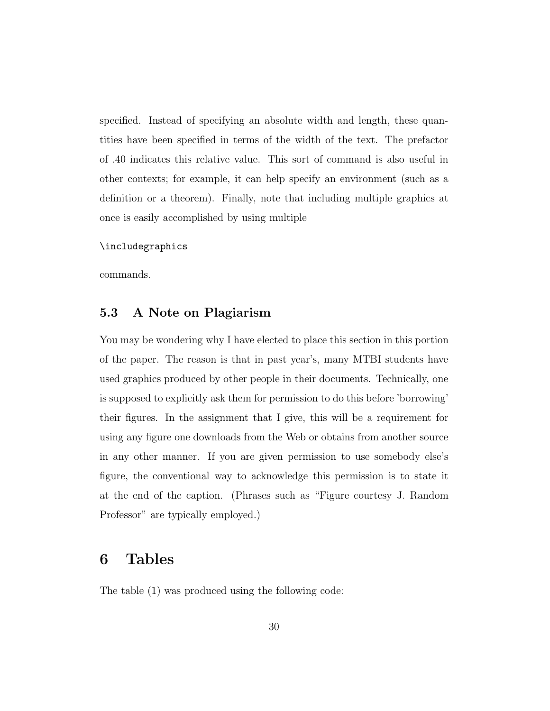specified. Instead of specifying an absolute width and length, these quantities have been specified in terms of the width of the text. The prefactor of .40 indicates this relative value. This sort of command is also useful in other contexts; for example, it can help specify an environment (such as a definition or a theorem). Finally, note that including multiple graphics at once is easily accomplished by using multiple

#### \includegraphics

commands.

### **5.3 A Note on Plagiarism**

You may be wondering why I have elected to place this section in this portion of the paper. The reason is that in past year's, many MTBI students have used graphics produced by other people in their documents. Technically, one is supposed to explicitly ask them for permission to do this before 'borrowing' their figures. In the assignment that I give, this will be a requirement for using any figure one downloads from the Web or obtains from another source in any other manner. If you are given permission to use somebody else's figure, the conventional way to acknowledge this permission is to state it at the end of the caption. (Phrases such as "Figure courtesy J. Random Professor" are typically employed.)

# **6 Tables**

The table (1) was produced using the following code: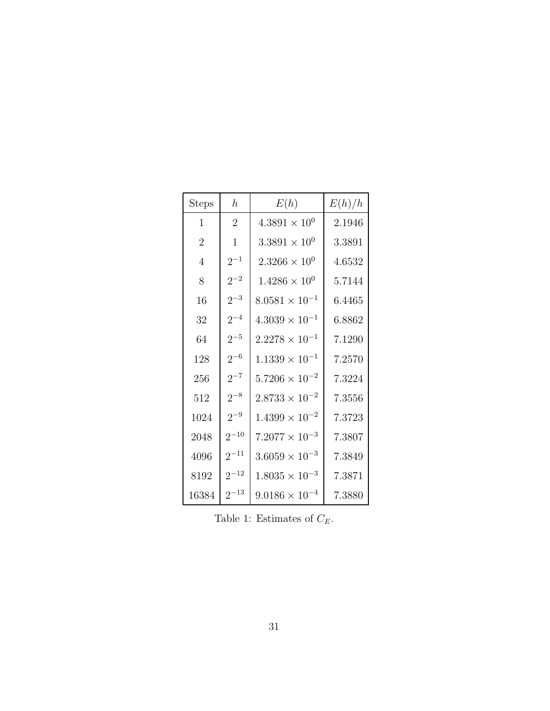| <b>Steps</b>   | $\hbar$        | E(h)                    | E(h)/h |
|----------------|----------------|-------------------------|--------|
| 1              | $\overline{2}$ | $4.3891 \times 10^{0}$  | 2.1946 |
| $\overline{2}$ | $\mathbf{1}$   | $3.3891 \times 10^{0}$  | 3.3891 |
| $\overline{4}$ | $2^{-1}$       | $2.3266 \times 10^{0}$  | 4.6532 |
| 8              | $2^{-2}$       | $1.4286 \times 10^{0}$  | 5.7144 |
| 16             | $2^{-3}$       | $8.0581 \times 10^{-1}$ | 6.4465 |
| 32             | $2^{-4}$       | $4.3039 \times 10^{-1}$ | 6.8862 |
| 64             | $2^{-5}$       | $2.2278 \times 10^{-1}$ | 7.1290 |
| 128            | $2^{-6}$       | $1.1339 \times 10^{-1}$ | 7.2570 |
| 256            | $2^{-7}$       | $5.7206 \times 10^{-2}$ | 7.3224 |
| 512            | $2^{-8}$       | $2.8733 \times 10^{-2}$ | 7.3556 |
| 1024           | $2^{-9}$       | $1.4399 \times 10^{-2}$ | 7.3723 |
| 2048           | $2^{-10}$      | $7.2077 \times 10^{-3}$ | 7.3807 |
| 4096           | $2^{-11}$      | $3.6059 \times 10^{-3}$ | 7.3849 |
| 8192           | $2^{-12}$      | $1.8035 \times 10^{-3}$ | 7.3871 |
| 16384          | $2^{-13}$      | $9.0186 \times 10^{-4}$ | 7.3880 |

Table 1: Estimates of  $C_E$ .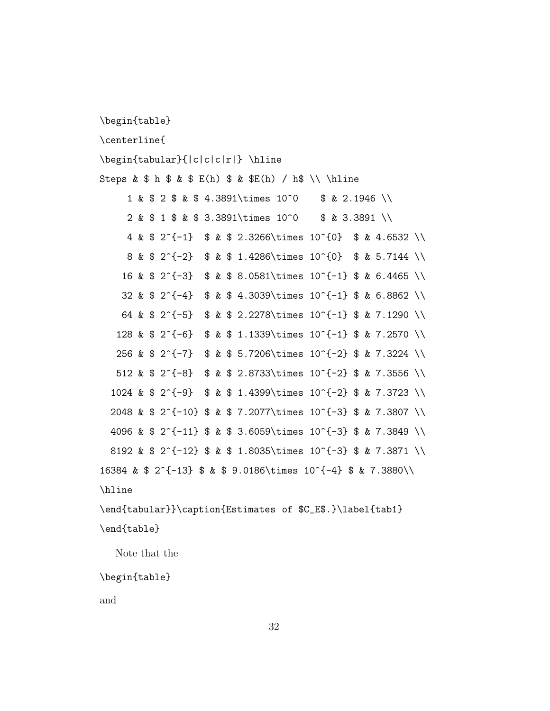```
\begin{table}
\centerline{
\begin{tabular}{|c|c|c|r|} \hline
Steps & $ h $ & $ E(h) $ & $ E(h) / h$ \ \1 & $ 2 $ & $ 4.3891\times 10^0 $ & 2.1946 \\
     2 & $ 1 $ & $ 3.3891\times 10^0 $ & 3.3891 \\
     4 \& $ 2^{\{-1\}} \& $ 2.3266\times 10^{\{-1\}} \& 4.6532 \ \}8 & $ 2^{-2} $ & $ 1.4286\times 10^{0} $ & 5.7144 \\
   16 & $ 2^{-3} $ & $ 8.0581\times 10^{-1} $ & 6.4465 \\
   32 & $ 2^{-4} $ & $ 4.3039\times 10^{-1} $ & 6.8862 \\
   64 & $ 2^{-5} $ & $ 2.2278\times 10^{-1} $ & 7.1290 \\
   128 & $ 2^{-6} $ & $ 1.1339\times 10^{-1} $ & 7.2570 \\
  256 & $ 2^{-7} $ & $ 5.7206\times 10^{-2} $ & 7.3224 \\
  512 & $ 2^{-8} $ & $ 2.8733\times 10^{-2} $ & 7.3556 \\
  1024 & $ 2^{-9} $ & $ 1.4399\times 10^{-2} $ & 7.3723 \\
 2048 & $ 2<sup>\text{-}10} $ & $ 7.2077\times 10^{-3} $ & 7.3807 \\</sup>
 4096 & $ 2^{-11} $ & $ 3.6059\times 10^{-3} $ & 7.3849 \\
 8192 & $ 2^{-12} $ & $ 1.8035\times 10^{-3} $ & 7.3871 \\
16384 & $ 2^{-13} $ & $ 9.0186\times 10^{-4} $ & 7.3880\\
\hline
\end{tabular}}\caption{Estimates of $C_E$.}\label{tab1}
\end{table}
  Note that the
```

```
\begin{table}
```
and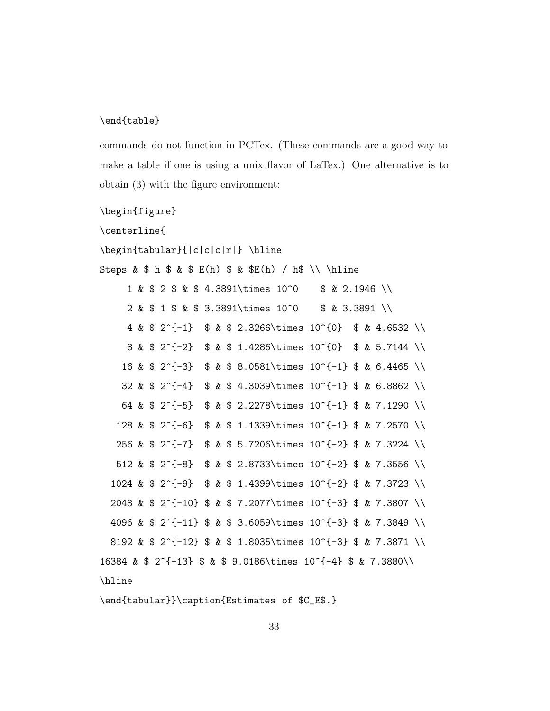#### \end{table}

commands do not function in PCTex. (These commands are a good way to make a table if one is using a unix flavor of LaTex.) One alternative is to obtain (3) with the figure environment:

\begin{figure}

\centerline{ \begin{tabular}{|c|c|c|r|} \hline Steps &  $$ h $ & $ E(h) $ & $ E(h) / h$ \ \$ 1 & \$ 2 \$ & \$ 4.3891\times 10^0 \$ & 2.1946 \\ 2 & \$ 1 \$ & \$ 3.3891\times 10^0 \$ & 3.3891 \\  $4 \& $ 2^{\{-1\}} \& $ 2.3266\times 10^{\{-1\}} \& 4.6532 \ \}$ 8 & \$ 2^{-2} \$ & \$ 1.4286\times 10^{0} \$ & 5.7144 \\ 16 & \$ 2^{-3} \$ & \$ 8.0581\times 10^{-1} \$ & 6.4465 \\ 32 & \$ 2<sup> $-4$ </sup>} \$ & \$ 4.3039\times 10 $^{-1}$  \$ & 6.8862 \\ 64 & \$ 2^{-5} \$ & \$ 2.2278\times  $10^{-(-1)}$  \$ & 7.1290 \\ 128 & \$ 2^{-6} \$ & \$ 1.1339\times  $10^{-1}$  \$ & 7.2570 \\ 256 & \$ 2^{-7} \$ & \$ 5.7206\times  $10^{-2}$  \$ & 7.3224 \\ 512 & \$ 2^{-8} \$ & \$ 2.8733\times 10^{-2} \$ & 7.3556 \\ 1024 & \$ 2^{-9} \$ & \$ 1.4399\times  $10^{-2}$  \$ & 7.3723 \\ 2048 & \$ 2^{-10} \$ & \$ 7.2077\times 10^{-3} \$ & 7.3807 \\ 4096 & \$ 2^{-11} \$ & \$ 3.6059\times 10^{-3} \$ & 7.3849 \\ 8192 & \$ 2^{-12} \$ & \$ 1.8035\times 10^{-3} \$ & 7.3871 \\ 16384 & \$ 2^{-13} \$ & \$ 9.0186\times 10^{-4} \$ & 7.3880\\ \hline \end{tabular}}\caption{Estimates of \$C\_E\$.}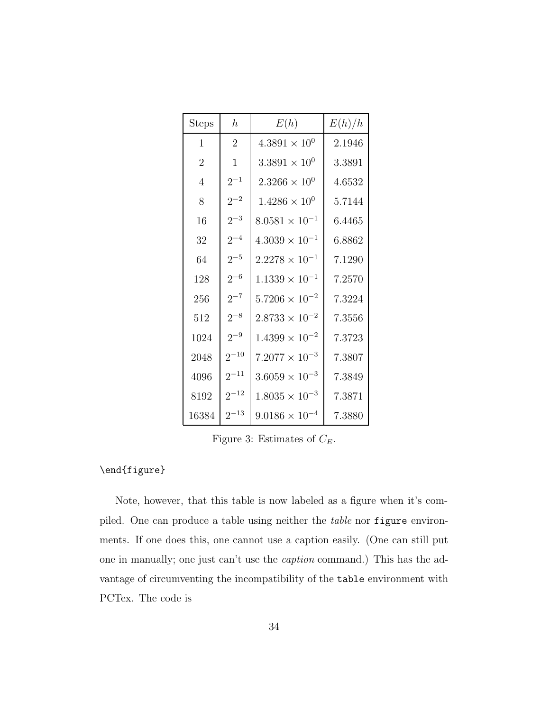| Steps          | $\hbar$        | E(h)                    | E(h)/h |
|----------------|----------------|-------------------------|--------|
| 1              | $\overline{2}$ | $4.3891 \times 10^{0}$  | 2.1946 |
| $\overline{2}$ | $\mathbf{1}$   | $3.3891 \times 10^{0}$  | 3.3891 |
| $\overline{4}$ | $2^{-1}$       | $2.3266 \times 10^{0}$  | 4.6532 |
| 8              | $2^{-2}$       | $1.4286 \times 10^{0}$  | 5.7144 |
| 16             | $2^{-3}$       | $8.0581 \times 10^{-1}$ | 6.4465 |
| 32             | $2^{-4}$       | $4.3039 \times 10^{-1}$ | 6.8862 |
| 64             | $2^{-5}$       | $2.2278 \times 10^{-1}$ | 7.1290 |
| 128            | $2^{-6}$       | $1.1339 \times 10^{-1}$ | 7.2570 |
| 256            | $2^{-7}$       | $5.7206 \times 10^{-2}$ | 7.3224 |
| 512            | $2^{-8}$       | $2.8733 \times 10^{-2}$ | 7.3556 |
| 1024           | $2^{-9}$       | $1.4399 \times 10^{-2}$ | 7.3723 |
| 2048           | $2^{-10}$      | $7.2077 \times 10^{-3}$ | 7.3807 |
| 4096           | $2^{-11}$      | $3.6059 \times 10^{-3}$ | 7.3849 |
| 8192           | $2^{-12}$      | $1.8035 \times 10^{-3}$ | 7.3871 |
| 16384          | $2^{-13}$      | $9.0186 \times 10^{-4}$ | 7.3880 |

Figure 3: Estimates of  $C_E$ .

### \end{figure}

Note, however, that this table is now labeled as a figure when it's compiled. One can produce a table using neither the table nor figure environments. If one does this, one cannot use a caption easily. (One can still put one in manually; one just can't use the caption command.) This has the advantage of circumventing the incompatibility of the table environment with PCTex. The code is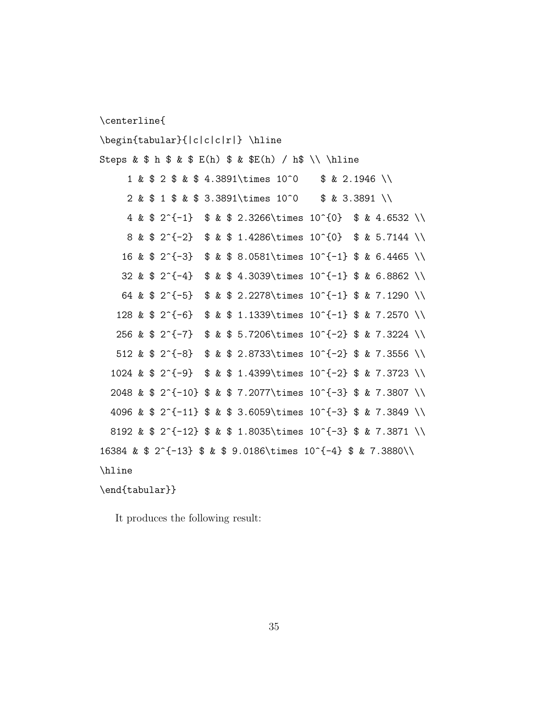\centerline{

\begin{tabular}{|c|c|c|r|} \hline Steps &  $$ h $ & $ E(h) $ & $ E(h) / h$ \ \$ 1 & \$ 2 \$ & \$ 4.3891\times 10^0 \$ & 2.1946 \\ 2 & \$ 1 \$ & \$ 3.3891\times 10^0 \$ & 3.3891 \\ 4 & \$ 2^{-1} \$ & \$ 2.3266\times 10^{0} \$ & 4.6532 \\ 8 & \$ 2^{-2} \$ & \$ 1.4286\times 10^{0} \$ & 5.7144 \\ 16 & \$ 2^{-3} \$ & \$ 8.0581\times 10^{-1} \$ & 6.4465 \\ 32 & \$ 2^{-4} \$ & \$ 4.3039\times  $10^{-1}$  \$ & 6.8862 \\ 64 & \$ 2^{-5} \$ & \$ 2.2278\times  $10^{-[-1]}$  \$ & 7.1290 \\ 128 & \$ 2^{-6} \$ & \$ 1.1339\times  $10^{-1}$  \$ & 7.2570 \\ 256 & \$ 2^{-7} \$ & \$ 5.7206\times  $10^{-2}$  \$ & 7.3224 \\ 512 & \$ 2^{-8} \$ & \$ 2.8733\times 10^{-2} \$ & 7.3556 \\ 1024 & \$ 2^{-9} \$ & \$ 1.4399\times  $10^{-2}$  \$ & 7.3723 \\ 2048 & \$ 2^{-10} \$ & \$ 7.2077\times 10^{-3} \$ & 7.3807 \\ 4096 & \$ 2^{-11} \$ & \$ 3.6059\times 10^{-3} \$ & 7.3849 \\ 8192 & \$ 2^{-12} \$ & \$ 1.8035\times 10^{-3} \$ & 7.3871 \\ 16384 & \$ 2^{-13} \$ & \$ 9.0186\times 10^{-4} \$ & 7.3880\\ \hline

```
\end{tabular}}
```
It produces the following result: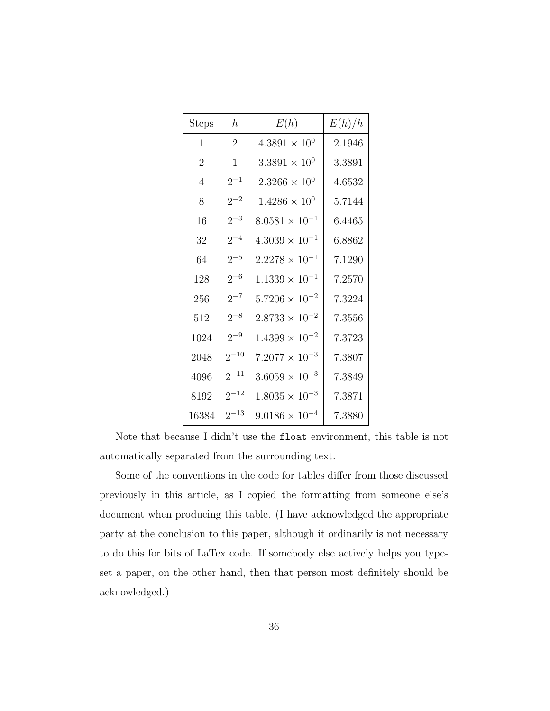| Steps          | $\hbar$        | E(h)                    | E(h)/h |
|----------------|----------------|-------------------------|--------|
| 1              | $\overline{2}$ | $4.3891 \times 10^{0}$  | 2.1946 |
| $\overline{2}$ | 1              | $3.3891 \times 10^{0}$  | 3.3891 |
| $\overline{4}$ | $2^{-1}$       | $2.3266 \times 10^{0}$  | 4.6532 |
| 8              | $2^{-2}$       | $1.4286 \times 10^{0}$  | 5.7144 |
| 16             | $2^{-3}$       | $8.0581 \times 10^{-1}$ | 6.4465 |
| 32             | $2^{-4}$       | $4.3039 \times 10^{-1}$ | 6.8862 |
| 64             | $2^{-5}$       | $2.2278 \times 10^{-1}$ | 7.1290 |
| 128            | $2^{-6}$       | $1.1339 \times 10^{-1}$ | 7.2570 |
| 256            | $2^{-7}$       | $5.7206 \times 10^{-2}$ | 7.3224 |
| 512            | $2^{-8}$       | $2.8733 \times 10^{-2}$ | 7.3556 |
| 1024           | $2^{-9}$       | $1.4399 \times 10^{-2}$ | 7.3723 |
| 2048           | $2^{-10}$      | $7.2077 \times 10^{-3}$ | 7.3807 |
| 4096           | $2^{-11}$      | $3.6059 \times 10^{-3}$ | 7.3849 |
| 8192           | $2^{-12}$      | $1.8035 \times 10^{-3}$ | 7.3871 |
| 16384          | $2^{-13}$      | $9.0186 \times 10^{-4}$ | 7.3880 |

Note that because I didn't use the float environment, this table is not automatically separated from the surrounding text.

Some of the conventions in the code for tables differ from those discussed previously in this article, as I copied the formatting from someone else's document when producing this table. (I have acknowledged the appropriate party at the conclusion to this paper, although it ordinarily is not necessary to do this for bits of LaTex code. If somebody else actively helps you typeset a paper, on the other hand, then that person most definitely should be acknowledged.)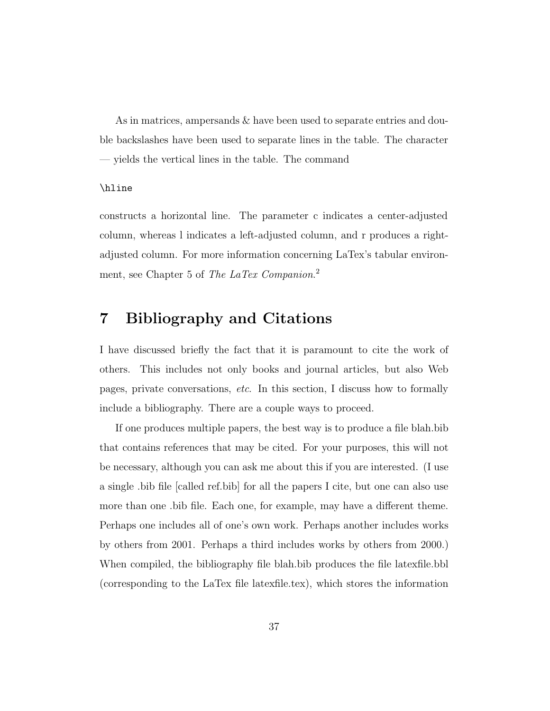As in matrices, ampersands & have been used to separate entries and double backslashes have been used to separate lines in the table. The character — yields the vertical lines in the table. The command

#### \hline

constructs a horizontal line. The parameter c indicates a center-adjusted column, whereas l indicates a left-adjusted column, and r produces a rightadjusted column. For more information concerning LaTex's tabular environment, see Chapter 5 of The LaTex Companion.<sup>2</sup>

# **7 Bibliography and Citations**

I have discussed briefly the fact that it is paramount to cite the work of others. This includes not only books and journal articles, but also Web pages, private conversations, etc. In this section, I discuss how to formally include a bibliography. There are a couple ways to proceed.

If one produces multiple papers, the best way is to produce a file blah.bib that contains references that may be cited. For your purposes, this will not be necessary, although you can ask me about this if you are interested. (I use a single .bib file [called ref.bib] for all the papers I cite, but one can also use more than one .bib file. Each one, for example, may have a different theme. Perhaps one includes all of one's own work. Perhaps another includes works by others from 2001. Perhaps a third includes works by others from 2000.) When compiled, the bibliography file blah.bib produces the file latexfile.bbl (corresponding to the LaTex file latexfile.tex), which stores the information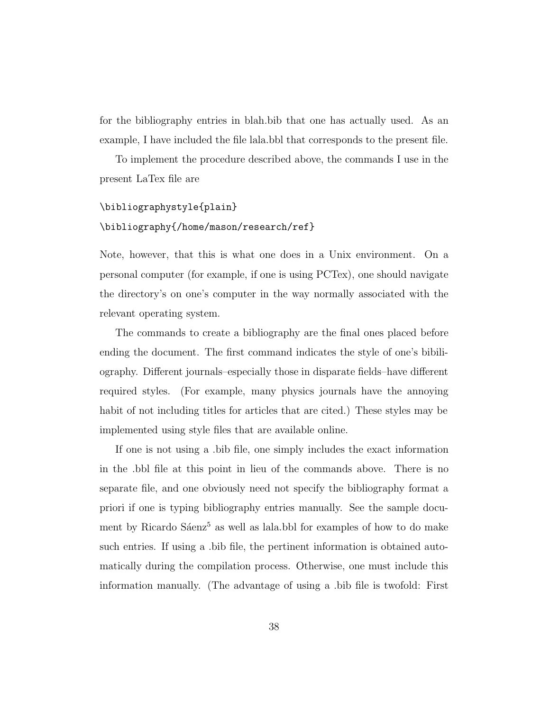for the bibliography entries in blah.bib that one has actually used. As an example, I have included the file lala.bbl that corresponds to the present file.

To implement the procedure described above, the commands I use in the present LaTex file are

# \bibliographystyle{plain} \bibliography{/home/mason/research/ref}

Note, however, that this is what one does in a Unix environment. On a personal computer (for example, if one is using PCTex), one should navigate the directory's on one's computer in the way normally associated with the relevant operating system.

The commands to create a bibliography are the final ones placed before ending the document. The first command indicates the style of one's bibiliography. Different journals–especially those in disparate fields–have different required styles. (For example, many physics journals have the annoying habit of not including titles for articles that are cited.) These styles may be implemented using style files that are available online.

If one is not using a .bib file, one simply includes the exact information in the .bbl file at this point in lieu of the commands above. There is no separate file, and one obviously need not specify the bibliography format a priori if one is typing bibliography entries manually. See the sample document by Ricardo S $\acute{a}$ enz<sup>5</sup> as well as lala.bbl for examples of how to do make such entries. If using a .bib file, the pertinent information is obtained automatically during the compilation process. Otherwise, one must include this information manually. (The advantage of using a .bib file is twofold: First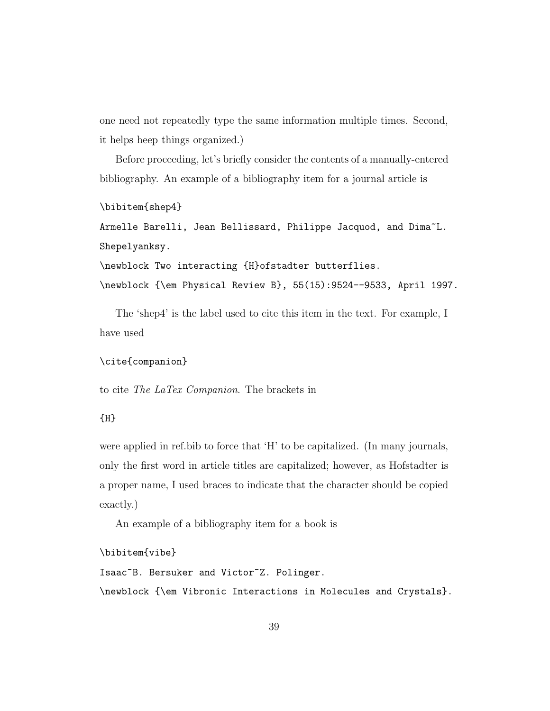one need not repeatedly type the same information multiple times. Second, it helps heep things organized.)

Before proceeding, let's briefly consider the contents of a manually-entered bibliography. An example of a bibliography item for a journal article is

```
\bibitem{shep4}
```

```
Armelle Barelli, Jean Bellissard, Philippe Jacquod, and Dima<sup>~</sup>L.
Shepelyanksy.
```
\newblock Two interacting {H}ofstadter butterflies.

\newblock {\em Physical Review B}, 55(15):9524--9533, April 1997.

The 'shep4' is the label used to cite this item in the text. For example, I have used

\cite{companion}

to cite The LaTex Companion. The brackets in

#### {H}

were applied in ref.bib to force that 'H' to be capitalized. (In many journals, only the first word in article titles are capitalized; however, as Hofstadter is a proper name, I used braces to indicate that the character should be copied exactly.)

An example of a bibliography item for a book is

\bibitem{vibe}

Isaac~B. Bersuker and Victor~Z. Polinger. \newblock {\em Vibronic Interactions in Molecules and Crystals}.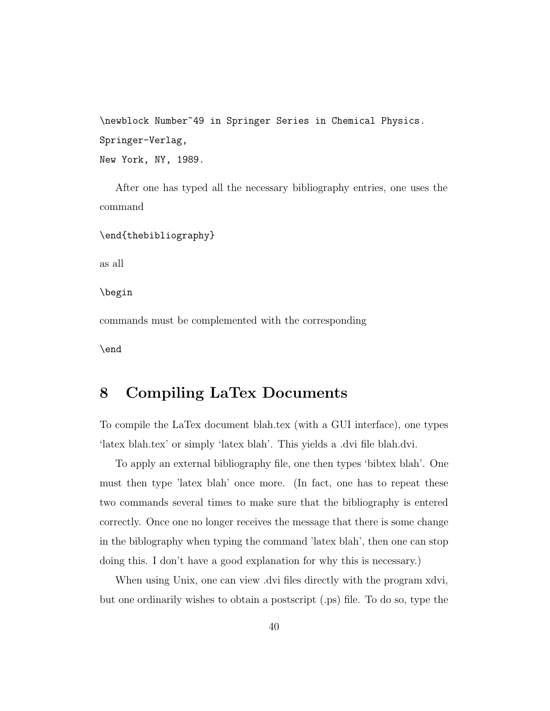\newblock Number~49 in Springer Series in Chemical Physics. Springer-Verlag, New York, NY, 1989.

After one has typed all the necessary bibliography entries, one uses the command

```
\end{thebibliography}
```
as all

\begin

commands must be complemented with the corresponding

\end

# **8 Compiling LaTex Documents**

To compile the LaTex document blah.tex (with a GUI interface), one types 'latex blah.tex' or simply 'latex blah'. This yields a .dvi file blah.dvi.

To apply an external bibliography file, one then types 'bibtex blah'. One must then type 'latex blah' once more. (In fact, one has to repeat these two commands several times to make sure that the bibliography is entered correctly. Once one no longer receives the message that there is some change in the biblography when typing the command 'latex blah', then one can stop doing this. I don't have a good explanation for why this is necessary.)

When using Unix, one can view .dvi files directly with the program xdvi, but one ordinarily wishes to obtain a postscript (.ps) file. To do so, type the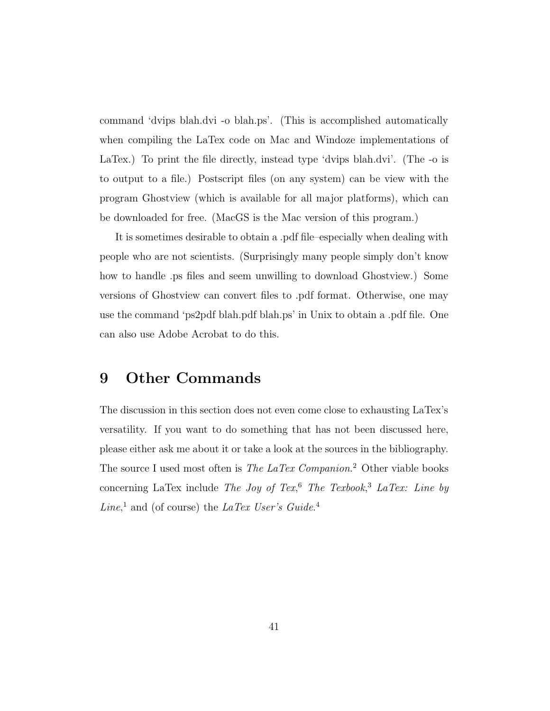command 'dvips blah.dvi -o blah.ps'. (This is accomplished automatically when compiling the LaTex code on Mac and Windoze implementations of LaTex.) To print the file directly, instead type 'dvips blah.dvi'. (The -o is to output to a file.) Postscript files (on any system) can be view with the program Ghostview (which is available for all major platforms), which can be downloaded for free. (MacGS is the Mac version of this program.)

It is sometimes desirable to obtain a .pdf file–especially when dealing with people who are not scientists. (Surprisingly many people simply don't know how to handle .ps files and seem unwilling to download Ghostview.) Some versions of Ghostview can convert files to .pdf format. Otherwise, one may use the command 'ps2pdf blah.pdf blah.ps' in Unix to obtain a .pdf file. One can also use Adobe Acrobat to do this.

# **9 Other Commands**

The discussion in this section does not even come close to exhausting LaTex's versatility. If you want to do something that has not been discussed here, please either ask me about it or take a look at the sources in the bibliography. The source I used most often is *The LaTex Companion*.<sup>2</sup> Other viable books concerning LaTex include The Joy of Tex,<sup>6</sup> The Texbook,<sup>3</sup> LaTex: Line by *Line*,<sup>1</sup> and (of course) the *LaTex User's Guide*.<sup>4</sup>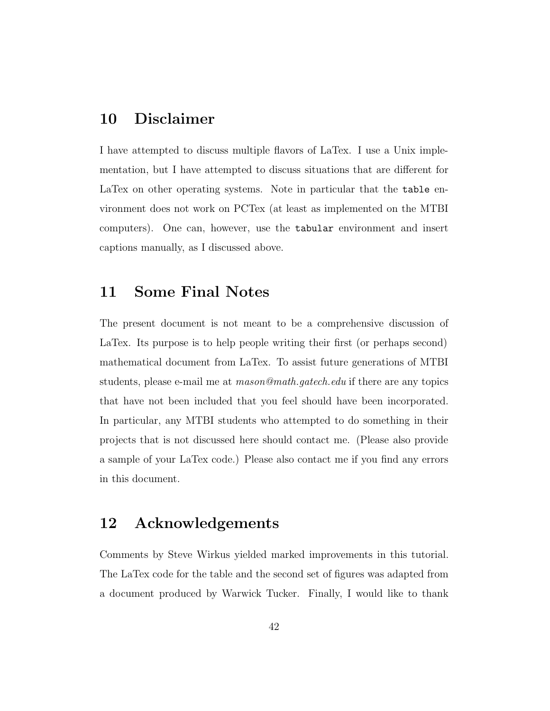# **10 Disclaimer**

I have attempted to discuss multiple flavors of LaTex. I use a Unix implementation, but I have attempted to discuss situations that are different for LaTex on other operating systems. Note in particular that the table environment does not work on PCTex (at least as implemented on the MTBI computers). One can, however, use the tabular environment and insert captions manually, as I discussed above.

# **11 Some Final Notes**

The present document is not meant to be a comprehensive discussion of LaTex. Its purpose is to help people writing their first (or perhaps second) mathematical document from LaTex. To assist future generations of MTBI students, please e-mail me at *mason@math.gatech.edu* if there are any topics that have not been included that you feel should have been incorporated. In particular, any MTBI students who attempted to do something in their projects that is not discussed here should contact me. (Please also provide a sample of your LaTex code.) Please also contact me if you find any errors in this document.

# **12 Acknowledgements**

Comments by Steve Wirkus yielded marked improvements in this tutorial. The LaTex code for the table and the second set of figures was adapted from a document produced by Warwick Tucker. Finally, I would like to thank